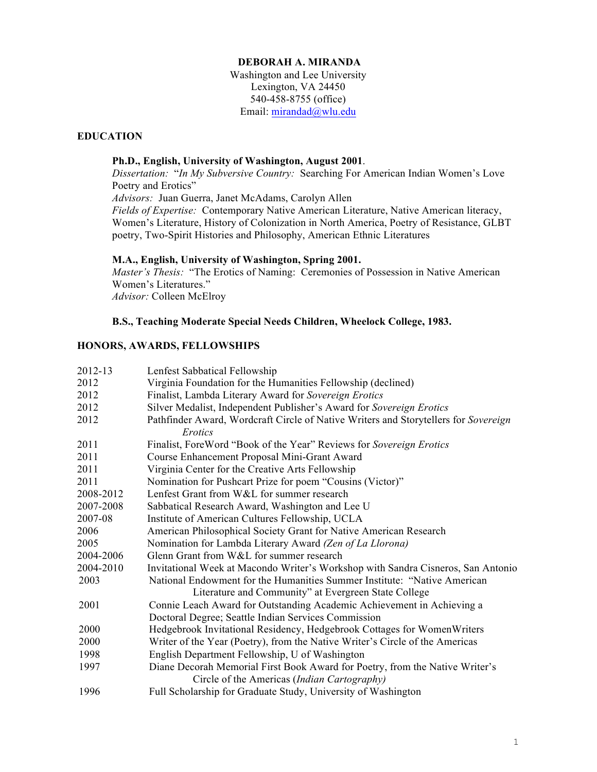## **DEBORAH A. MIRANDA**

Washington and Lee University Lexington, VA 24450 540-458-8755 (office) Email: mirandad@wlu.edu

## **EDUCATION**

## **Ph.D., English, University of Washington, August 2001**.

*Dissertation:* "*In My Subversive Country:* Searching For American Indian Women's Love Poetry and Erotics" *Advisors:* Juan Guerra, Janet McAdams, Carolyn Allen *Fields of Expertise:* Contemporary Native American Literature, Native American literacy, Women's Literature, History of Colonization in North America, Poetry of Resistance, GLBT poetry, Two-Spirit Histories and Philosophy, American Ethnic Literatures

#### **M.A., English, University of Washington, Spring 2001.**

*Master's Thesis:* "The Erotics of Naming: Ceremonies of Possession in Native American Women's Literatures." *Advisor:* Colleen McElroy

## **B.S., Teaching Moderate Special Needs Children, Wheelock College, 1983.**

## **HONORS, AWARDS, FELLOWSHIPS**

| Lenfest Sabbatical Fellowship                                                                  |
|------------------------------------------------------------------------------------------------|
| Virginia Foundation for the Humanities Fellowship (declined)                                   |
| Finalist, Lambda Literary Award for Sovereign Erotics                                          |
| Silver Medalist, Independent Publisher's Award for Sovereign Erotics                           |
| Pathfinder Award, Wordcraft Circle of Native Writers and Storytellers for Sovereign<br>Erotics |
| Finalist, ForeWord "Book of the Year" Reviews for Sovereign Erotics                            |
| Course Enhancement Proposal Mini-Grant Award                                                   |
| Virginia Center for the Creative Arts Fellowship                                               |
| Nomination for Pushcart Prize for poem "Cousins (Victor)"                                      |
| Lenfest Grant from W&L for summer research                                                     |
| Sabbatical Research Award, Washington and Lee U                                                |
| Institute of American Cultures Fellowship, UCLA                                                |
| American Philosophical Society Grant for Native American Research                              |
| Nomination for Lambda Literary Award (Zen of La Llorona)                                       |
| Glenn Grant from W&L for summer research                                                       |
| Invitational Week at Macondo Writer's Workshop with Sandra Cisneros, San Antonio               |
| National Endowment for the Humanities Summer Institute: "Native American                       |
| Literature and Community" at Evergreen State College                                           |
| Connie Leach Award for Outstanding Academic Achievement in Achieving a                         |
| Doctoral Degree; Seattle Indian Services Commission                                            |
| Hedgebrook Invitational Residency, Hedgebrook Cottages for Women Writers                       |
| Writer of the Year (Poetry), from the Native Writer's Circle of the Americas                   |
| English Department Fellowship, U of Washington                                                 |
| Diane Decorah Memorial First Book Award for Poetry, from the Native Writer's                   |
| Circle of the Americas (Indian Cartography)                                                    |
| Full Scholarship for Graduate Study, University of Washington                                  |
|                                                                                                |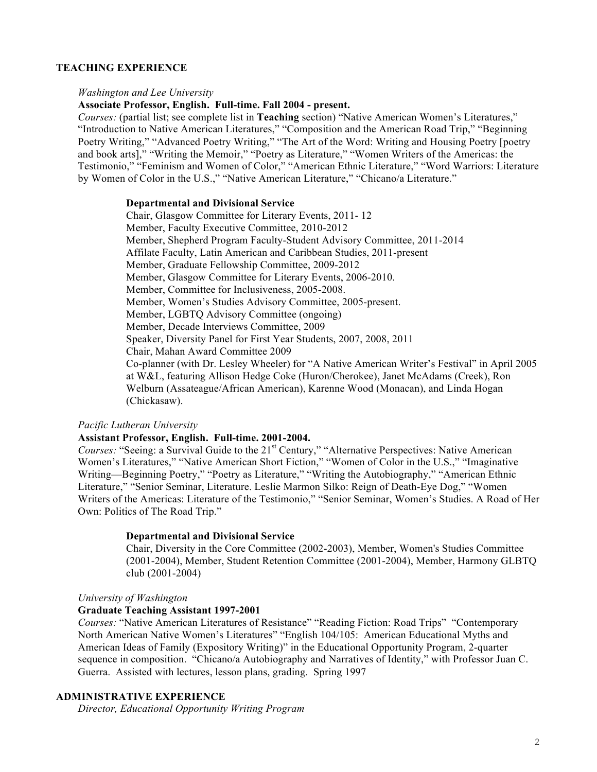## **TEACHING EXPERIENCE**

#### *Washington and Lee University*

**Associate Professor, English. Full-time. Fall 2004 - present.**

*Courses:* (partial list; see complete list in **Teaching** section) "Native American Women's Literatures," "Introduction to Native American Literatures," "Composition and the American Road Trip," "Beginning Poetry Writing," "Advanced Poetry Writing," "The Art of the Word: Writing and Housing Poetry [poetry and book arts]," "Writing the Memoir," "Poetry as Literature," "Women Writers of the Americas: the Testimonio," "Feminism and Women of Color," "American Ethnic Literature," "Word Warriors: Literature by Women of Color in the U.S.," "Native American Literature," "Chicano/a Literature."

### **Departmental and Divisional Service**

Chair, Glasgow Committee for Literary Events, 2011- 12 Member, Faculty Executive Committee, 2010-2012 Member, Shepherd Program Faculty-Student Advisory Committee, 2011-2014 Affilate Faculty, Latin American and Caribbean Studies, 2011-present Member, Graduate Fellowship Committee, 2009-2012 Member, Glasgow Committee for Literary Events, 2006-2010. Member, Committee for Inclusiveness, 2005-2008. Member, Women's Studies Advisory Committee, 2005-present. Member, LGBTQ Advisory Committee (ongoing) Member, Decade Interviews Committee, 2009 Speaker, Diversity Panel for First Year Students, 2007, 2008, 2011 Chair, Mahan Award Committee 2009 Co-planner (with Dr. Lesley Wheeler) for "A Native American Writer's Festival" in April 2005 at W&L, featuring Allison Hedge Coke (Huron/Cherokee), Janet McAdams (Creek), Ron Welburn (Assateague/African American), Karenne Wood (Monacan), and Linda Hogan (Chickasaw).

#### *Pacific Lutheran University*

## **Assistant Professor, English. Full-time. 2001-2004.**

*Courses:* "Seeing: a Survival Guide to the 21<sup>st</sup> Century," "Alternative Perspectives: Native American Women's Literatures," "Native American Short Fiction," "Women of Color in the U.S.," "Imaginative Writing—Beginning Poetry," "Poetry as Literature," "Writing the Autobiography," "American Ethnic Literature," "Senior Seminar, Literature. Leslie Marmon Silko: Reign of Death-Eye Dog," "Women Writers of the Americas: Literature of the Testimonio," "Senior Seminar, Women's Studies. A Road of Her Own: Politics of The Road Trip."

### **Departmental and Divisional Service**

Chair, Diversity in the Core Committee (2002-2003), Member, Women's Studies Committee (2001-2004), Member, Student Retention Committee (2001-2004), Member, Harmony GLBTQ club (2001-2004)

#### *University of Washington*

#### **Graduate Teaching Assistant 1997-2001**

*Courses:* "Native American Literatures of Resistance" "Reading Fiction: Road Trips" "Contemporary North American Native Women's Literatures" "English 104/105: American Educational Myths and American Ideas of Family (Expository Writing)" in the Educational Opportunity Program, 2-quarter sequence in composition. "Chicano/a Autobiography and Narratives of Identity," with Professor Juan C. Guerra. Assisted with lectures, lesson plans, grading. Spring 1997

# **ADMINISTRATIVE EXPERIENCE**

*Director, Educational Opportunity Writing Program*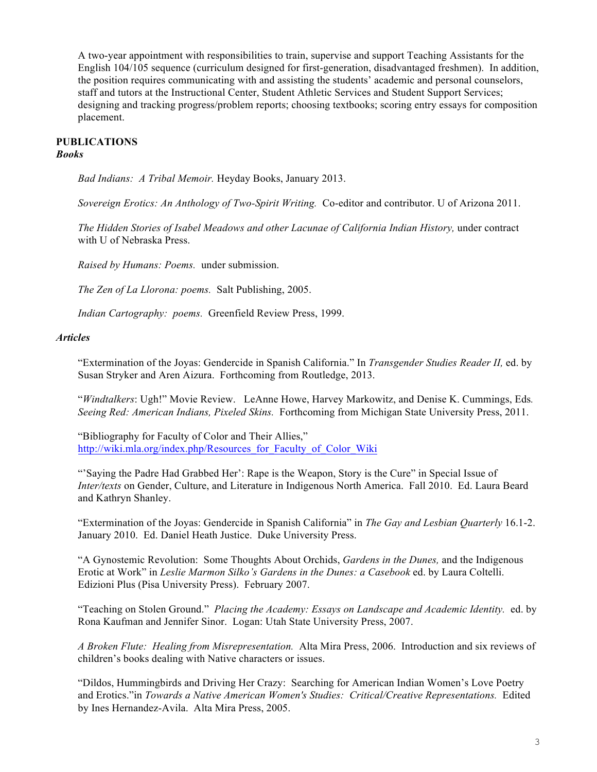A two-year appointment with responsibilities to train, supervise and support Teaching Assistants for the English 104/105 sequence (curriculum designed for first-generation, disadvantaged freshmen). In addition, the position requires communicating with and assisting the students' academic and personal counselors, staff and tutors at the Instructional Center, Student Athletic Services and Student Support Services; designing and tracking progress/problem reports; choosing textbooks; scoring entry essays for composition placement.

#### **PUBLICATIONS** *Books*

*Bad Indians: A Tribal Memoir.* Heyday Books, January 2013.

*Sovereign Erotics: An Anthology of Two-Spirit Writing.* Co-editor and contributor. U of Arizona 2011.

*The Hidden Stories of Isabel Meadows and other Lacunae of California Indian History,* under contract with U of Nebraska Press.

*Raised by Humans: Poems.* under submission.

*The Zen of La Llorona: poems.* Salt Publishing, 2005.

*Indian Cartography: poems.* Greenfield Review Press, 1999.

### *Articles*

"Extermination of the Joyas: Gendercide in Spanish California." In *Transgender Studies Reader II,* ed. by Susan Stryker and Aren Aizura. Forthcoming from Routledge, 2013.

"*Windtalkers*: Ugh!" Movie Review. LeAnne Howe, Harvey Markowitz, and Denise K. Cummings, Eds*. Seeing Red: American Indians, Pixeled Skins.* Forthcoming from Michigan State University Press, 2011.

"Bibliography for Faculty of Color and Their Allies," http://wiki.mla.org/index.php/Resources\_for\_Faculty\_of\_Color\_Wiki

"'Saying the Padre Had Grabbed Her': Rape is the Weapon, Story is the Cure" in Special Issue of *Inter/texts* on Gender, Culture, and Literature in Indigenous North America. Fall 2010. Ed. Laura Beard and Kathryn Shanley.

"Extermination of the Joyas: Gendercide in Spanish California" in *The Gay and Lesbian Quarterly* 16.1-2. January 2010. Ed. Daniel Heath Justice. Duke University Press.

"A Gynostemic Revolution: Some Thoughts About Orchids, *Gardens in the Dunes,* and the Indigenous Erotic at Work" in *Leslie Marmon Silko's Gardens in the Dunes: a Casebook* ed. by Laura Coltelli. Edizioni Plus (Pisa University Press). February 2007.

"Teaching on Stolen Ground." *Placing the Academy: Essays on Landscape and Academic Identity.* ed. by Rona Kaufman and Jennifer Sinor. Logan: Utah State University Press, 2007.

*A Broken Flute: Healing from Misrepresentation.* Alta Mira Press, 2006. Introduction and six reviews of children's books dealing with Native characters or issues.

"Dildos, Hummingbirds and Driving Her Crazy: Searching for American Indian Women's Love Poetry and Erotics."in *Towards a Native American Women's Studies: Critical/Creative Representations.* Edited by Ines Hernandez-Avila. Alta Mira Press, 2005.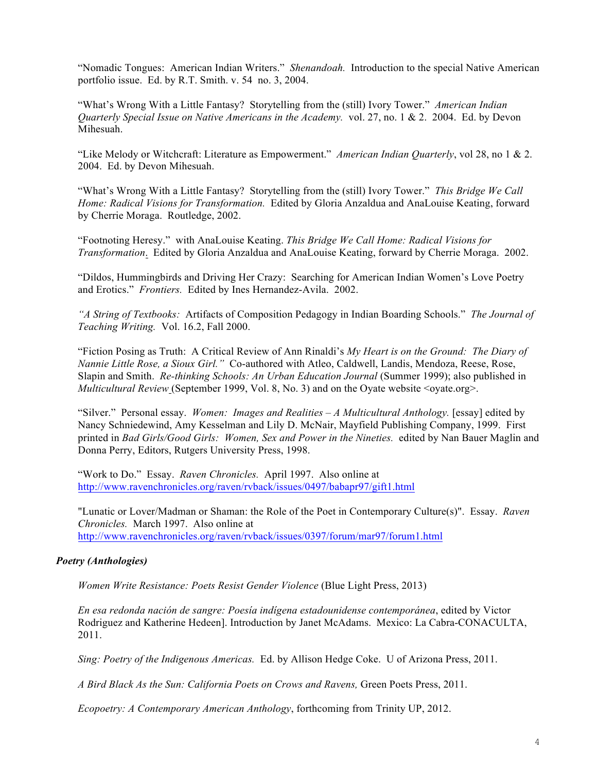"Nomadic Tongues: American Indian Writers." *Shenandoah.* Introduction to the special Native American portfolio issue. Ed. by R.T. Smith. v. 54 no. 3, 2004.

"What's Wrong With a Little Fantasy? Storytelling from the (still) Ivory Tower." *American Indian Quarterly Special Issue on Native Americans in the Academy.* vol. 27, no. 1 & 2. 2004. Ed. by Devon Mihesuah.

"Like Melody or Witchcraft: Literature as Empowerment." *American Indian Quarterly*, vol 28, no 1 & 2. 2004. Ed. by Devon Mihesuah.

"What's Wrong With a Little Fantasy? Storytelling from the (still) Ivory Tower." *This Bridge We Call Home: Radical Visions for Transformation.* Edited by Gloria Anzaldua and AnaLouise Keating, forward by Cherrie Moraga. Routledge, 2002.

"Footnoting Heresy." with AnaLouise Keating. *This Bridge We Call Home: Radical Visions for Transformation*. Edited by Gloria Anzaldua and AnaLouise Keating, forward by Cherrie Moraga. 2002.

"Dildos, Hummingbirds and Driving Her Crazy: Searching for American Indian Women's Love Poetry and Erotics." *Frontiers.* Edited by Ines Hernandez-Avila. 2002.

*"A String of Textbooks:* Artifacts of Composition Pedagogy in Indian Boarding Schools." *The Journal of Teaching Writing.* Vol. 16.2, Fall 2000.

"Fiction Posing as Truth: A Critical Review of Ann Rinaldi's *My Heart is on the Ground: The Diary of Nannie Little Rose, a Sioux Girl."* Co-authored with Atleo, Caldwell, Landis, Mendoza, Reese, Rose, Slapin and Smith. *Re-thinking Schools: An Urban Education Journal* (Summer 1999); also published in *Multicultural Review* (September 1999, Vol. 8, No. 3) and on the Oyate website <ovate.org>.

"Silver." Personal essay. *Women: Images and Realities – A Multicultural Anthology.* [essay] edited by Nancy Schniedewind, Amy Kesselman and Lily D. McNair, Mayfield Publishing Company, 1999. First printed in *Bad Girls/Good Girls: Women, Sex and Power in the Nineties.* edited by Nan Bauer Maglin and Donna Perry, Editors, Rutgers University Press, 1998.

"Work to Do." Essay. *Raven Chronicles.* April 1997. Also online at http://www.ravenchronicles.org/raven/rvback/issues/0497/babapr97/gift1.html

"Lunatic or Lover/Madman or Shaman: the Role of the Poet in Contemporary Culture(s)". Essay. *Raven Chronicles.* March 1997. Also online at http://www.ravenchronicles.org/raven/rvback/issues/0397/forum/mar97/forum1.html

## *Poetry (Anthologies)*

*Women Write Resistance: Poets Resist Gender Violence* (Blue Light Press, 2013)

*En esa redonda nación de sangre: Poesía indígena estadounidense contemporánea*, edited by Victor Rodriguez and Katherine Hedeen]. Introduction by Janet McAdams. Mexico: La Cabra-CONACULTA, 2011.

*Sing: Poetry of the Indigenous Americas.* Ed. by Allison Hedge Coke. U of Arizona Press, 2011.

*A Bird Black As the Sun: California Poets on Crows and Ravens,* Green Poets Press, 2011.

*Ecopoetry: A Contemporary American Anthology*, forthcoming from Trinity UP, 2012.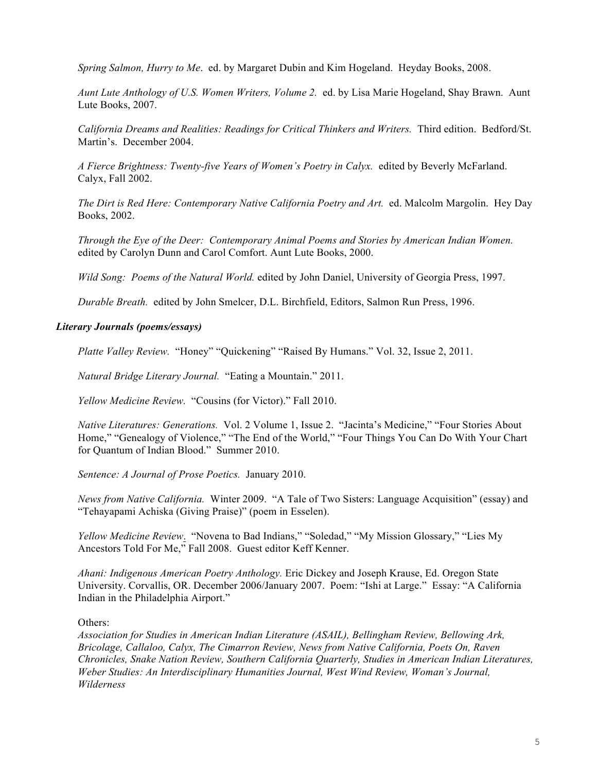*Spring Salmon, Hurry to Me*. ed. by Margaret Dubin and Kim Hogeland. Heyday Books, 2008.

*Aunt Lute Anthology of U.S. Women Writers, Volume 2.* ed. by Lisa Marie Hogeland, Shay Brawn. Aunt Lute Books, 2007.

*California Dreams and Realities: Readings for Critical Thinkers and Writers.* Third edition. Bedford/St. Martin's. December 2004.

*A Fierce Brightness: Twenty-five Years of Women's Poetry in Calyx.* edited by Beverly McFarland. Calyx, Fall 2002.

*The Dirt is Red Here: Contemporary Native California Poetry and Art.* ed. Malcolm Margolin. Hey Day Books, 2002.

*Through the Eye of the Deer: Contemporary Animal Poems and Stories by American Indian Women.* edited by Carolyn Dunn and Carol Comfort. Aunt Lute Books, 2000.

*Wild Song: Poems of the Natural World.* edited by John Daniel, University of Georgia Press, 1997.

*Durable Breath.* edited by John Smelcer, D.L. Birchfield, Editors, Salmon Run Press, 1996.

### *Literary Journals (poems/essays)*

*Platte Valley Review.* "Honey" "Quickening" "Raised By Humans." Vol. 32, Issue 2, 2011.

*Natural Bridge Literary Journal.* "Eating a Mountain." 2011.

*Yellow Medicine Review.* "Cousins (for Victor)." Fall 2010.

*Native Literatures: Generations.* Vol. 2 Volume 1, Issue 2. "Jacinta's Medicine," "Four Stories About Home," "Genealogy of Violence," "The End of the World," "Four Things You Can Do With Your Chart for Quantum of Indian Blood." Summer 2010.

*Sentence: A Journal of Prose Poetics.* January 2010.

*News from Native California.* Winter 2009. "A Tale of Two Sisters: Language Acquisition" (essay) and "Tehayapami Achiska (Giving Praise)" (poem in Esselen).

*Yellow Medicine Review*. "Novena to Bad Indians," "Soledad," "My Mission Glossary," "Lies My Ancestors Told For Me," Fall 2008. Guest editor Keff Kenner.

*Ahani: Indigenous American Poetry Anthology.* Eric Dickey and Joseph Krause, Ed. Oregon State University. Corvallis, OR. December 2006/January 2007. Poem: "Ishi at Large." Essay: "A California Indian in the Philadelphia Airport."

Others:

*Association for Studies in American Indian Literature (ASAIL), Bellingham Review, Bellowing Ark, Bricolage, Callaloo, Calyx, The Cimarron Review, News from Native California, Poets On, Raven Chronicles, Snake Nation Review, Southern California Quarterly, Studies in American Indian Literatures, Weber Studies: An Interdisciplinary Humanities Journal, West Wind Review, Woman's Journal, Wilderness*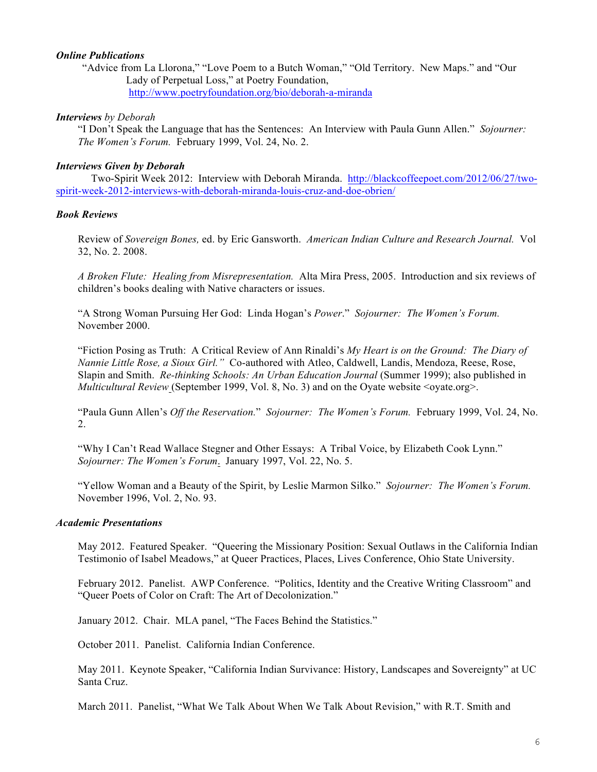### *Online Publications*

"Advice from La Llorona," "Love Poem to a Butch Woman," "Old Territory. New Maps." and "Our Lady of Perpetual Loss," at Poetry Foundation, http://www.poetryfoundation.org/bio/deborah-a-miranda

### *Interviews by Deborah*

"I Don't Speak the Language that has the Sentences: An Interview with Paula Gunn Allen." *Sojourner: The Women's Forum.* February 1999, Vol. 24, No. 2.

### *Interviews Given by Deborah*

Two-Spirit Week 2012: Interview with Deborah Miranda. http://blackcoffeepoet.com/2012/06/27/twospirit-week-2012-interviews-with-deborah-miranda-louis-cruz-and-doe-obrien/

## *Book Reviews*

Review of *Sovereign Bones,* ed. by Eric Gansworth. *American Indian Culture and Research Journal.* Vol 32, No. 2. 2008.

*A Broken Flute: Healing from Misrepresentation.* Alta Mira Press, 2005. Introduction and six reviews of children's books dealing with Native characters or issues.

"A Strong Woman Pursuing Her God: Linda Hogan's *Power*." *Sojourner: The Women's Forum.* November 2000.

"Fiction Posing as Truth: A Critical Review of Ann Rinaldi's *My Heart is on the Ground: The Diary of Nannie Little Rose, a Sioux Girl."* Co-authored with Atleo, Caldwell, Landis, Mendoza, Reese, Rose, Slapin and Smith. *Re-thinking Schools: An Urban Education Journal* (Summer 1999); also published in *Multicultural Review* (September 1999, Vol. 8, No. 3) and on the Oyate website <ovate.org>.

"Paula Gunn Allen's *Off the Reservation.*" *Sojourner: The Women's Forum.* February 1999, Vol. 24, No. 2.

"Why I Can't Read Wallace Stegner and Other Essays: A Tribal Voice, by Elizabeth Cook Lynn." *Sojourner: The Women's Forum*. January 1997, Vol. 22, No. 5.

"Yellow Woman and a Beauty of the Spirit, by Leslie Marmon Silko." *Sojourner: The Women's Forum.*  November 1996, Vol. 2, No. 93.

#### *Academic Presentations*

May 2012. Featured Speaker. "Queering the Missionary Position: Sexual Outlaws in the California Indian Testimonio of Isabel Meadows," at Queer Practices, Places, Lives Conference, Ohio State University.

February 2012. Panelist. AWP Conference. "Politics, Identity and the Creative Writing Classroom" and "Queer Poets of Color on Craft: The Art of Decolonization."

January 2012. Chair. MLA panel, "The Faces Behind the Statistics."

October 2011. Panelist. California Indian Conference.

May 2011. Keynote Speaker, "California Indian Survivance: History, Landscapes and Sovereignty" at UC Santa Cruz.

March 2011. Panelist, "What We Talk About When We Talk About Revision," with R.T. Smith and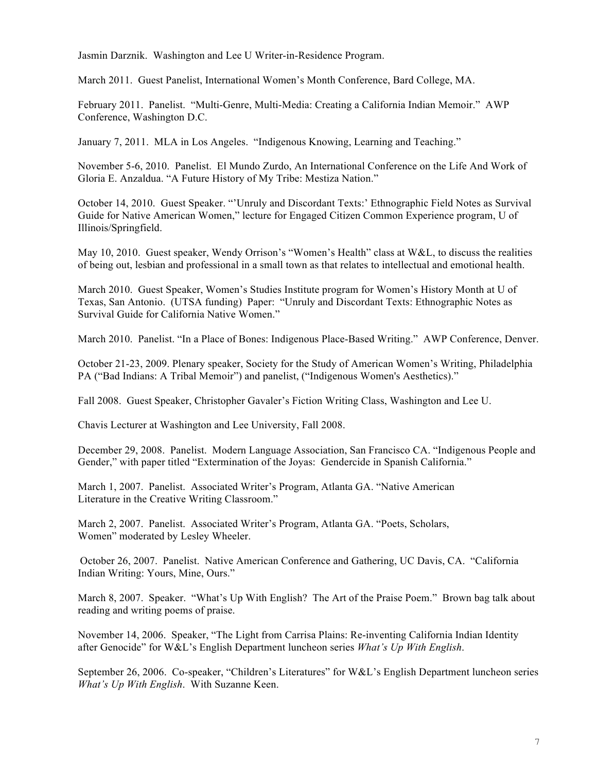Jasmin Darznik. Washington and Lee U Writer-in-Residence Program.

March 2011. Guest Panelist, International Women's Month Conference, Bard College, MA.

February 2011. Panelist. "Multi-Genre, Multi-Media: Creating a California Indian Memoir." AWP Conference, Washington D.C.

January 7, 2011. MLA in Los Angeles. "Indigenous Knowing, Learning and Teaching."

November 5-6, 2010. Panelist. El Mundo Zurdo, An International Conference on the Life And Work of Gloria E. Anzaldua. "A Future History of My Tribe: Mestiza Nation."

October 14, 2010. Guest Speaker. "'Unruly and Discordant Texts:' Ethnographic Field Notes as Survival Guide for Native American Women," lecture for Engaged Citizen Common Experience program, U of Illinois/Springfield.

May 10, 2010. Guest speaker, Wendy Orrison's "Women's Health" class at W&L, to discuss the realities of being out, lesbian and professional in a small town as that relates to intellectual and emotional health.

March 2010. Guest Speaker, Women's Studies Institute program for Women's History Month at U of Texas, San Antonio. (UTSA funding) Paper: "Unruly and Discordant Texts: Ethnographic Notes as Survival Guide for California Native Women."

March 2010. Panelist. "In a Place of Bones: Indigenous Place-Based Writing." AWP Conference, Denver.

October 21-23, 2009. Plenary speaker, Society for the Study of American Women's Writing, Philadelphia PA ("Bad Indians: A Tribal Memoir") and panelist, ("Indigenous Women's Aesthetics)."

Fall 2008. Guest Speaker, Christopher Gavaler's Fiction Writing Class, Washington and Lee U.

Chavis Lecturer at Washington and Lee University, Fall 2008.

December 29, 2008. Panelist. Modern Language Association, San Francisco CA. "Indigenous People and Gender," with paper titled "Extermination of the Joyas: Gendercide in Spanish California."

March 1, 2007. Panelist. Associated Writer's Program, Atlanta GA. "Native American Literature in the Creative Writing Classroom."

March 2, 2007. Panelist. Associated Writer's Program, Atlanta GA. "Poets, Scholars, Women" moderated by Lesley Wheeler.

October 26, 2007. Panelist. Native American Conference and Gathering, UC Davis, CA. "California Indian Writing: Yours, Mine, Ours."

March 8, 2007. Speaker. "What's Up With English? The Art of the Praise Poem." Brown bag talk about reading and writing poems of praise.

November 14, 2006. Speaker, "The Light from Carrisa Plains: Re-inventing California Indian Identity after Genocide" for W&L's English Department luncheon series *What's Up With English*.

September 26, 2006. Co-speaker, "Children's Literatures" for W&L's English Department luncheon series *What's Up With English*. With Suzanne Keen.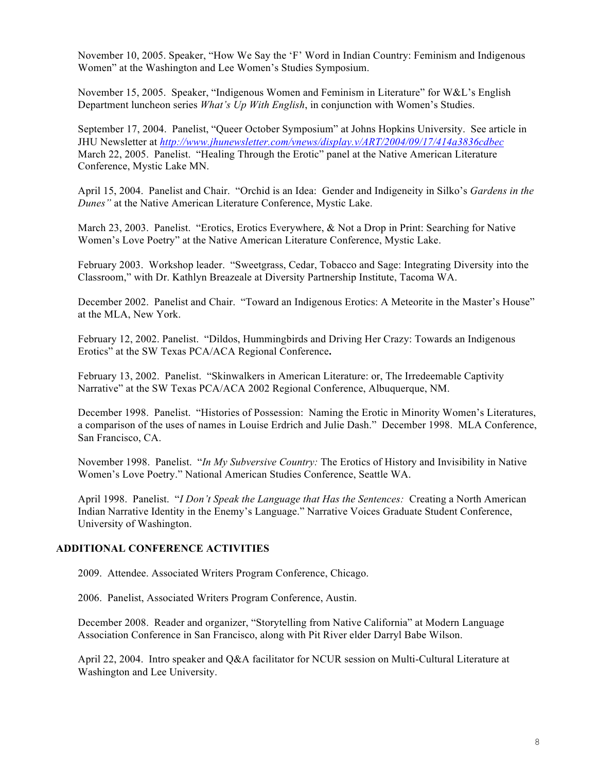November 10, 2005. Speaker, "How We Say the 'F' Word in Indian Country: Feminism and Indigenous Women" at the Washington and Lee Women's Studies Symposium.

November 15, 2005. Speaker, "Indigenous Women and Feminism in Literature" for W&L's English Department luncheon series *What's Up With English*, in conjunction with Women's Studies.

September 17, 2004. Panelist, "Queer October Symposium" at Johns Hopkins University. See article in JHU Newsletter at *http://www.jhunewsletter.com/vnews/display.v/ART/2004/09/17/414a3836cdbec* March 22, 2005. Panelist. "Healing Through the Erotic" panel at the Native American Literature Conference, Mystic Lake MN.

April 15, 2004. Panelist and Chair. "Orchid is an Idea: Gender and Indigeneity in Silko's *Gardens in the Dunes"* at the Native American Literature Conference, Mystic Lake.

March 23, 2003. Panelist. "Erotics, Erotics Everywhere, & Not a Drop in Print: Searching for Native Women's Love Poetry" at the Native American Literature Conference, Mystic Lake.

February 2003. Workshop leader. "Sweetgrass, Cedar, Tobacco and Sage: Integrating Diversity into the Classroom," with Dr. Kathlyn Breazeale at Diversity Partnership Institute, Tacoma WA.

December 2002. Panelist and Chair. "Toward an Indigenous Erotics: A Meteorite in the Master's House" at the MLA, New York.

February 12, 2002. Panelist. "Dildos, Hummingbirds and Driving Her Crazy: Towards an Indigenous Erotics" at the SW Texas PCA/ACA Regional Conference**.**

February 13, 2002. Panelist. "Skinwalkers in American Literature: or, The Irredeemable Captivity Narrative" at the SW Texas PCA/ACA 2002 Regional Conference, Albuquerque, NM.

December 1998. Panelist. "Histories of Possession: Naming the Erotic in Minority Women's Literatures, a comparison of the uses of names in Louise Erdrich and Julie Dash." December 1998. MLA Conference, San Francisco, CA.

November 1998. Panelist. "*In My Subversive Country:* The Erotics of History and Invisibility in Native Women's Love Poetry." National American Studies Conference, Seattle WA.

April 1998. Panelist. "*I Don't Speak the Language that Has the Sentences:* Creating a North American Indian Narrative Identity in the Enemy's Language." Narrative Voices Graduate Student Conference, University of Washington.

### **ADDITIONAL CONFERENCE ACTIVITIES**

2009. Attendee. Associated Writers Program Conference, Chicago.

2006. Panelist, Associated Writers Program Conference, Austin.

December 2008. Reader and organizer, "Storytelling from Native California" at Modern Language Association Conference in San Francisco, along with Pit River elder Darryl Babe Wilson.

April 22, 2004. Intro speaker and Q&A facilitator for NCUR session on Multi-Cultural Literature at Washington and Lee University.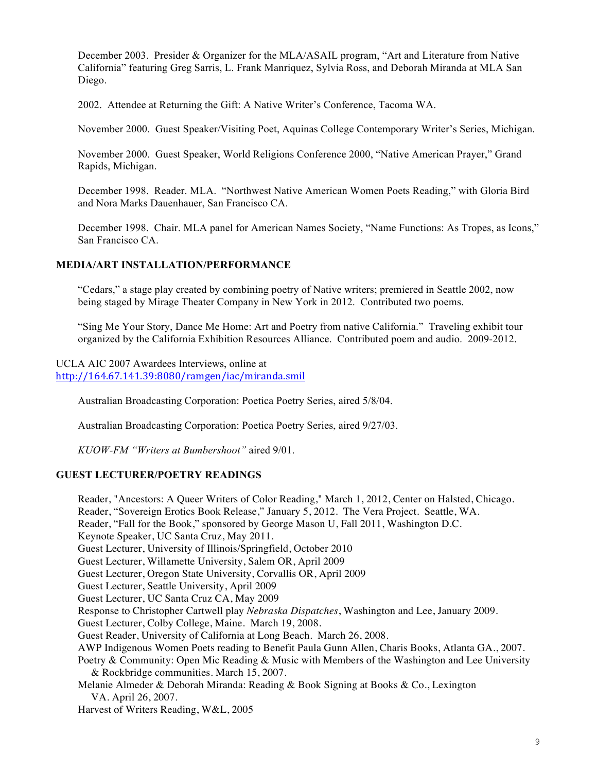December 2003. Presider & Organizer for the MLA/ASAIL program, "Art and Literature from Native California" featuring Greg Sarris, L. Frank Manriquez, Sylvia Ross, and Deborah Miranda at MLA San Diego.

2002. Attendee at Returning the Gift: A Native Writer's Conference, Tacoma WA.

November 2000. Guest Speaker/Visiting Poet, Aquinas College Contemporary Writer's Series, Michigan.

November 2000. Guest Speaker, World Religions Conference 2000, "Native American Prayer," Grand Rapids, Michigan.

December 1998. Reader. MLA. "Northwest Native American Women Poets Reading," with Gloria Bird and Nora Marks Dauenhauer, San Francisco CA.

December 1998. Chair. MLA panel for American Names Society, "Name Functions: As Tropes, as Icons," San Francisco CA.

## **MEDIA/ART INSTALLATION/PERFORMANCE**

"Cedars," a stage play created by combining poetry of Native writers; premiered in Seattle 2002, now being staged by Mirage Theater Company in New York in 2012. Contributed two poems.

"Sing Me Your Story, Dance Me Home: Art and Poetry from native California." Traveling exhibit tour organized by the California Exhibition Resources Alliance. Contributed poem and audio. 2009-2012.

UCLA AIC 2007 Awardees Interviews, online at http://164.67.141.39:8080/ramgen/iac/miranda.smil

Australian Broadcasting Corporation: Poetica Poetry Series, aired 5/8/04.

Australian Broadcasting Corporation: Poetica Poetry Series, aired 9/27/03.

*KUOW-FM "Writers at Bumbershoot"* aired 9/01.

### **GUEST LECTURER/POETRY READINGS**

Reader, "Ancestors: A Queer Writers of Color Reading," March 1, 2012, Center on Halsted, Chicago. Reader, "Sovereign Erotics Book Release," January 5, 2012. The Vera Project. Seattle, WA. Reader, "Fall for the Book," sponsored by George Mason U, Fall 2011, Washington D.C. Keynote Speaker, UC Santa Cruz, May 2011. Guest Lecturer, University of Illinois/Springfield, October 2010 Guest Lecturer, Willamette University, Salem OR, April 2009 Guest Lecturer, Oregon State University, Corvallis OR, April 2009 Guest Lecturer, Seattle University, April 2009 Guest Lecturer, UC Santa Cruz CA, May 2009 Response to Christopher Cartwell play *Nebraska Dispatches*, Washington and Lee, January 2009. Guest Lecturer, Colby College, Maine. March 19, 2008. Guest Reader, University of California at Long Beach. March 26, 2008. AWP Indigenous Women Poets reading to Benefit Paula Gunn Allen, Charis Books, Atlanta GA., 2007. Poetry & Community: Open Mic Reading & Music with Members of the Washington and Lee University & Rockbridge communities. March 15, 2007. Melanie Almeder & Deborah Miranda: Reading & Book Signing at Books & Co., Lexington VA. April 26, 2007. Harvest of Writers Reading, W&L, 2005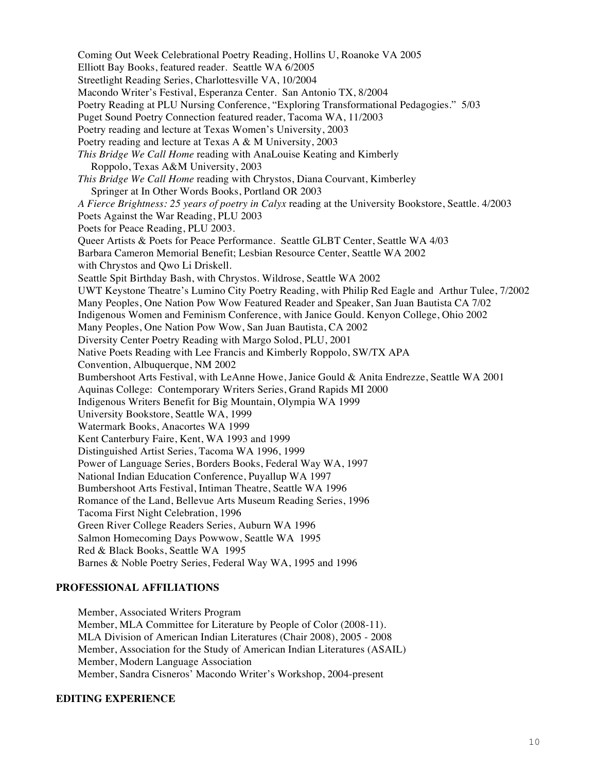Coming Out Week Celebrational Poetry Reading, Hollins U, Roanoke VA 2005 Elliott Bay Books, featured reader. Seattle WA 6/2005 Streetlight Reading Series, Charlottesville VA, 10/2004 Macondo Writer's Festival, Esperanza Center. San Antonio TX, 8/2004 Poetry Reading at PLU Nursing Conference, "Exploring Transformational Pedagogies." 5/03 Puget Sound Poetry Connection featured reader, Tacoma WA, 11/2003 Poetry reading and lecture at Texas Women's University, 2003 Poetry reading and lecture at Texas A & M University, 2003 *This Bridge We Call Home* reading with AnaLouise Keating and Kimberly Roppolo, Texas A&M University, 2003 *This Bridge We Call Home* reading with Chrystos, Diana Courvant, Kimberley Springer at In Other Words Books, Portland OR 2003 *A Fierce Brightness: 25 years of poetry in Calyx* reading at the University Bookstore, Seattle. 4/2003 Poets Against the War Reading, PLU 2003 Poets for Peace Reading, PLU 2003. Queer Artists & Poets for Peace Performance. Seattle GLBT Center, Seattle WA 4/03 Barbara Cameron Memorial Benefit; Lesbian Resource Center, Seattle WA 2002 with Chrystos and Qwo Li Driskell. Seattle Spit Birthday Bash, with Chrystos. Wildrose, Seattle WA 2002 UWT Keystone Theatre's Lumino City Poetry Reading, with Philip Red Eagle and Arthur Tulee, 7/2002 Many Peoples, One Nation Pow Wow Featured Reader and Speaker, San Juan Bautista CA 7/02 Indigenous Women and Feminism Conference, with Janice Gould. Kenyon College, Ohio 2002 Many Peoples, One Nation Pow Wow, San Juan Bautista, CA 2002 Diversity Center Poetry Reading with Margo Solod, PLU, 2001 Native Poets Reading with Lee Francis and Kimberly Roppolo, SW/TX APA Convention, Albuquerque, NM 2002 Bumbershoot Arts Festival, with LeAnne Howe, Janice Gould & Anita Endrezze, Seattle WA 2001 Aquinas College: Contemporary Writers Series, Grand Rapids MI 2000 Indigenous Writers Benefit for Big Mountain, Olympia WA 1999 University Bookstore, Seattle WA, 1999 Watermark Books, Anacortes WA 1999 Kent Canterbury Faire, Kent, WA 1993 and 1999 Distinguished Artist Series, Tacoma WA 1996, 1999 Power of Language Series, Borders Books, Federal Way WA, 1997 National Indian Education Conference, Puyallup WA 1997 Bumbershoot Arts Festival, Intiman Theatre, Seattle WA 1996 Romance of the Land, Bellevue Arts Museum Reading Series, 1996 Tacoma First Night Celebration, 1996 Green River College Readers Series, Auburn WA 1996 Salmon Homecoming Days Powwow, Seattle WA 1995 Red & Black Books, Seattle WA 1995 Barnes & Noble Poetry Series, Federal Way WA, 1995 and 1996

## **PROFESSIONAL AFFILIATIONS**

Member, Associated Writers Program Member, MLA Committee for Literature by People of Color (2008-11). MLA Division of American Indian Literatures (Chair 2008), 2005 - 2008 Member, Association for the Study of American Indian Literatures (ASAIL) Member, Modern Language Association Member, Sandra Cisneros' Macondo Writer's Workshop, 2004-present

## **EDITING EXPERIENCE**